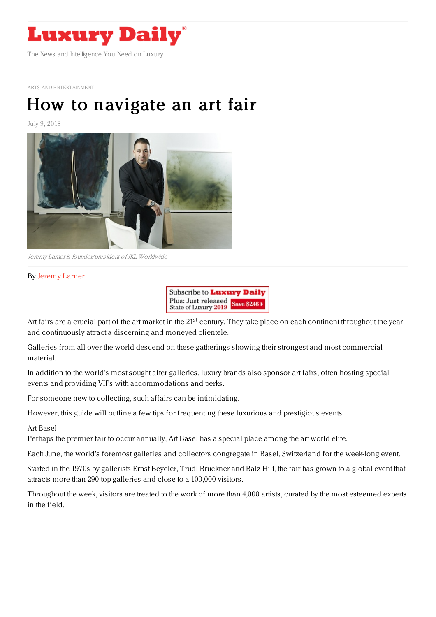

ARTS AND [ENTERTAINMENT](https://www.luxurydaily.com/category/sectors/arts-and-entertainment/)

# How to [navigate](https://www.luxurydaily.com/how-to-navigate-an-art-fair/) an art fair

July 9, 2018



Jeremy Larner is founder/president ofJKL Worldwide

## By [Jeremy](https://www.jklworldwide.com/) Larner



Art fairs are a crucial part of the art market in the 21<sup>st</sup> century. They take place on each continent throughout the year and continuously attract a discerning and moneyed clientele.

Galleries from all over the world descend on these gatherings showing their strongest and most commercial material.

In addition to the world's most sought-after galleries, luxury brands also sponsor art fairs, often hosting special events and providing VIPs with accommodations and perks.

For someone new to collecting, such affairs can be intimidating.

However, this guide will outline a few tips for frequenting these luxurious and prestigious events.

#### Art Basel

Perhaps the premier fair to occur annually, Art Basel has a special place among the art world elite.

Each June, the world's foremost galleries and collectors congregate in Basel, Switzerland for the week-long event.

Started in the 1970s by gallerists Ernst Beyeler, Trudl Bruckner and Balz Hilt, the fair has grown to a global event that attracts more than 290 top galleries and close to a 100,000 visitors.

Throughout the week, visitors are treated to the work of more than 4,000 artists, curated by the most esteemed experts in the field.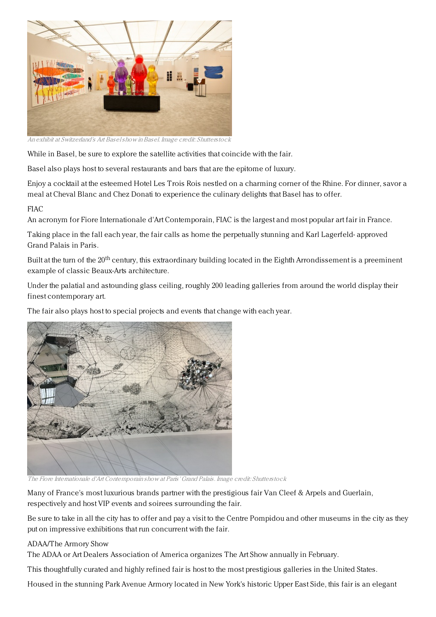

An exhibit at Switzerland's Art Baselshow inBasel. Image credit: Shutterstock

While in Basel, be sure to explore the satellite activities that coincide with the fair.

Basel also plays host to several restaurants and bars that are the epitome of luxury.

Enjoy a cocktail at the esteemed Hotel Les Trois Rois nestled on a charming corner of the Rhine. For dinner, savor a meal at Cheval Blanc and Chez Donati to experience the culinary delights that Basel has to offer.

## **FIAC**

An acronym for Fiore Internationale d'Art Contemporain, FIAC is the largest and most popular art fair in France.

Taking place in the fall each year, the fair calls as home the perpetually stunning and Karl Lagerfeld- approved Grand Palais in Paris.

Built at the turn of the 20<sup>th</sup> century, this extraordinary building located in the Eighth Arrondissement is a preeminent example of classic Beaux-Arts architecture.

Under the palatial and astounding glass ceiling, roughly 200 leading galleries from around the world display their finest contemporary art.

The fair also plays host to special projects and events that change with each year.



The Fiore Internationale d'Art Contemporain show at Paris' Grand Palais. Image credit: Shutterstock

Many of France's most luxurious brands partner with the prestigious fair Van Cleef & Arpels and Guerlain, respectively and host VIP events and soirees surrounding the fair.

Be sure to take in all the city has to offer and pay a visit to the Centre Pompidou and other museums in the city as they put on impressive exhibitions that run concurrent with the fair.

### ADAA/The Armory Show

The ADAA or Art Dealers Association of America organizes The Art Show annually in February.

This thoughtfully curated and highly refined fair is host to the most prestigious galleries in the United States.

Housed in the stunning Park Avenue Armory located in New York's historic Upper East Side, this fair is an elegant